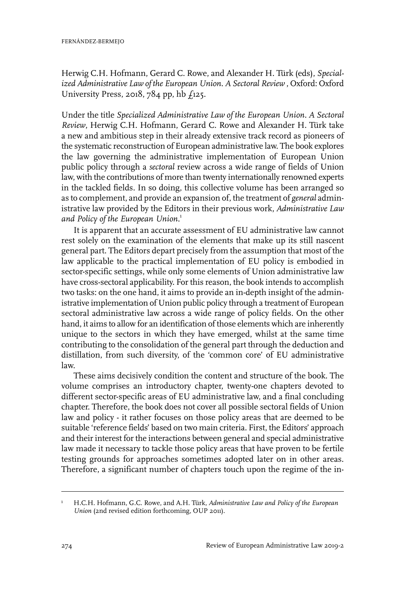Herwig C.H. Hofmann, Gerard C. Rowe, and Alexander H. Türk (eds), *Specialized Administrative Law of the European Union. A Sectoral Review* , Oxford: Oxford University Press, 2018, 784 pp, hb  $f_{125}$ .

Under the title *Specialized Administrative Law of the European Union. A Sectoral Review*, Herwig C.H. Hofmann, Gerard C. Rowe and Alexander H. Türk take a new and ambitious step in their already extensive track record as pioneers of the systematic reconstruction of European administrative law. The book explores the law governing the administrative implementation of European Union public policy through a *sectoral* review across a wide range of fields of Union law, with the contributions of more than twenty internationally renowned experts in the tackled fields. In so doing, this collective volume has been arranged so as to complement, and provide an expansion of, the treatment of *general* administrative law provided by the Editors in their previous work, *Administrative Law and Policy of the European Union*. 1

It is apparent that an accurate assessment of EU administrative law cannot rest solely on the examination of the elements that make up its still nascent general part. The Editors depart precisely from the assumption that most of the law applicable to the practical implementation of EU policy is embodied in sector-specific settings, while only some elements of Union administrative law have cross-sectoral applicability. For this reason, the book intends to accomplish two tasks: on the one hand, it aims to provide an in-depth insight of the administrative implementation of Union public policy through a treatment of European sectoral administrative law across a wide range of policy fields. On the other hand, it aims to allow for an identification of those elements which are inherently unique to the sectors in which they have emerged, whilst at the same time contributing to the consolidation of the general part through the deduction and distillation, from such diversity, of the 'common core' of EU administrative law.

These aims decisively condition the content and structure of the book. The volume comprises an introductory chapter, twenty-one chapters devoted to different sector-specific areas of EU administrative law, and a final concluding chapter. Therefore, the book does not cover all possible sectoral fields of Union law and policy - it rather focuses on those policy areas that are deemed to be suitable 'reference fields' based on two main criteria. First, the Editors' approach and their interest for the interactions between general and special administrative law made it necessary to tackle those policy areas that have proven to be fertile testing grounds for approaches sometimes adopted later on in other areas. Therefore, a significant number of chapters touch upon the regime of the in-

H.C.H. Hofmann, G.C. Rowe, and A.H. Türk, *Administrative Law and Policy of the European Union* (2nd revised edition forthcoming, OUP 2011). 1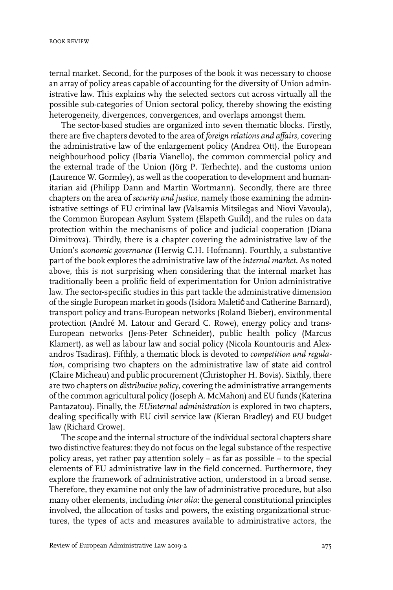ternal market. Second, for the purposes of the book it was necessary to choose an array of policy areas capable of accounting for the diversity of Union administrative law. This explains why the selected sectors cut across virtually all the possible sub-categories of Union sectoral policy, thereby showing the existing heterogeneity, divergences, convergences, and overlaps amongst them.

The sector-based studies are organized into seven thematic blocks. Firstly, there are five chapters devoted to the area of *foreign relations and affairs*, covering the administrative law of the enlargement policy (Andrea Ott), the European neighbourhood policy (Ibaria Vianello), the common commercial policy and the external trade of the Union (Jörg P. Terhechte), and the customs union (Laurence W. Gormley), as well as the cooperation to development and humanitarian aid (Philipp Dann and Martin Wortmann). Secondly, there are three chapters on the area of *security and justice*, namely those examining the administrative settings of EU criminal law (Valsamis Mitsilegas and Niovi Vavoula), the Common European Asylum System (Elspeth Guild), and the rules on data protection within the mechanisms of police and judicial cooperation (Diana Dimitrova). Thirdly, there is a chapter covering the administrative law of the Union's *economic governance* (Herwig C.H. Hofmann). Fourthly, a substantive part of the book explores the administrative law of the *internal market*. As noted above, this is not surprising when considering that the internal market has traditionally been a prolific field of experimentation for Union administrative law. The sector-specific studies in this part tackle the administrative dimension of the single European market in goods (Isidora Maletić and Catherine Barnard), transport policy and trans-European networks (Roland Bieber), environmental protection (André M. Latour and Gerard C. Rowe), energy policy and trans-European networks (Jens-Peter Schneider), public health policy (Marcus Klamert), as well as labour law and social policy (Nicola Kountouris and Alexandros Tsadiras). Fifthly, a thematic block is devoted to *competition and regulation*, comprising two chapters on the administrative law of state aid control (Claire Micheau) and public procurement (Christopher H. Bovis). Sixthly, there are two chapters on *distributive policy*, covering the administrative arrangements of the common agricultural policy (Joseph A. McMahon) and EU funds (Katerina Pantazatou). Finally, the *EUinternal administration* is explored in two chapters, dealing specifically with EU civil service law (Kieran Bradley) and EU budget law (Richard Crowe).

The scope and the internal structure of the individual sectoral chapters share two distinctive features: they do not focus on the legal substance of the respective policy areas, yet rather pay attention solely – as far as possible – to the special elements of EU administrative law in the field concerned. Furthermore, they explore the framework of administrative action, understood in a broad sense. Therefore, they examine not only the law of administrative procedure, but also many other elements, including *inter alia*: the general constitutional principles involved, the allocation of tasks and powers, the existing organizational structures, the types of acts and measures available to administrative actors, the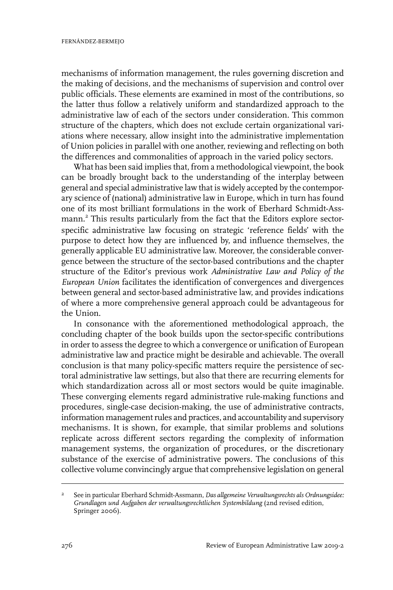mechanisms of information management, the rules governing discretion and the making of decisions, and the mechanisms of supervision and control over public officials. These elements are examined in most of the contributions, so the latter thus follow a relatively uniform and standardized approach to the administrative law of each of the sectors under consideration. This common structure of the chapters, which does not exclude certain organizational variations where necessary, allow insight into the administrative implementation of Union policies in parallel with one another, reviewing and reflecting on both the differences and commonalities of approach in the varied policy sectors.

What has been said implies that, from a methodological viewpoint, the book can be broadly brought back to the understanding of the interplay between general and special administrative law that is widely accepted by the contemporary science of (national) administrative law in Europe, which in turn has found one of its most brilliant formulations in the work of Eberhard Schmidt-Assmann.<sup>2</sup> This results particularly from the fact that the Editors explore sectorspecific administrative law focusing on strategic 'reference fields' with the purpose to detect how they are influenced by, and influence themselves, the generally applicable EU administrative law. Moreover, the considerable convergence between the structure of the sector-based contributions and the chapter structure of the Editor's previous work *Administrative Law and Policy of the European Union* facilitates the identification of convergences and divergences between general and sector-based administrative law, and provides indications of where a more comprehensive general approach could be advantageous for the Union.

In consonance with the aforementioned methodological approach, the concluding chapter of the book builds upon the sector-specific contributions in order to assess the degree to which a convergence or unification of European administrative law and practice might be desirable and achievable. The overall conclusion is that many policy-specific matters require the persistence of sectoral administrative law settings, but also that there are recurring elements for which standardization across all or most sectors would be quite imaginable. These converging elements regard administrative rule-making functions and procedures, single-case decision-making, the use of administrative contracts, information management rules and practices, and accountability and supervisory mechanisms. It is shown, for example, that similar problems and solutions replicate across different sectors regarding the complexity of information management systems, the organization of procedures, or the discretionary substance of the exercise of administrative powers. The conclusions of this collective volume convincingly argue that comprehensive legislation on general

See in particular Eberhard Schmidt-Assmann, *Das allgemeine Verwaltungsrechts als Ordnungsidee: Grundlagen und Aufgaben der verwaltungsrechtlichen Systembildung* (2nd revised edition, Springer 2006). 2